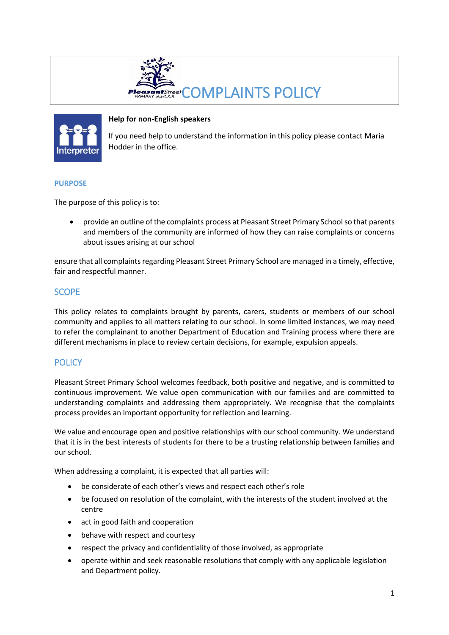



## **Help for non-English speakers**

If you need help to understand the information in this policy please contact Maria Hodder in the office.

### **PURPOSE**

The purpose of this policy is to:

• provide an outline of the complaints process at Pleasant Street Primary School so that parents and members of the community are informed of how they can raise complaints or concerns about issues arising at our school

ensure that all complaints regarding Pleasant Street Primary School are managed in a timely, effective, fair and respectful manner.

# **SCOPE**

This policy relates to complaints brought by parents, carers, students or members of our school community and applies to all matters relating to our school. In some limited instances, we may need to refer the complainant to another Department of Education and Training process where there are different mechanisms in place to review certain decisions, for example, expulsion appeals.

# **POLICY**

Pleasant Street Primary School welcomes feedback, both positive and negative, and is committed to continuous improvement. We value open communication with our families and are committed to understanding complaints and addressing them appropriately. We recognise that the complaints process provides an important opportunity for reflection and learning.

We value and encourage open and positive relationships with our school community. We understand that it is in the best interests of students for there to be a trusting relationship between families and our school.

When addressing a complaint, it is expected that all parties will:

- be considerate of each other's views and respect each other's role
- be focused on resolution of the complaint, with the interests of the student involved at the centre
- act in good faith and cooperation
- behave with respect and courtesy
- respect the privacy and confidentiality of those involved, as appropriate
- operate within and seek reasonable resolutions that comply with any applicable legislation and Department policy.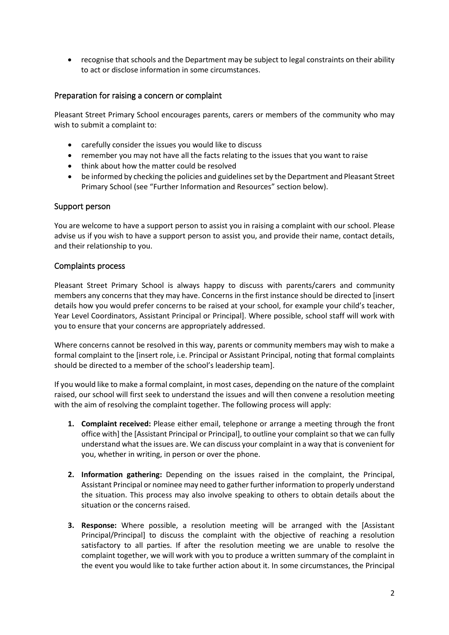• recognise that schools and the Department may be subject to legal constraints on their ability to act or disclose information in some circumstances.

## Preparation for raising a concern or complaint

Pleasant Street Primary School encourages parents, carers or members of the community who may wish to submit a complaint to:

- carefully consider the issues you would like to discuss
- remember you may not have all the facts relating to the issues that you want to raise
- think about how the matter could be resolved
- be informed by checking the policies and guidelines set by the Department and Pleasant Street Primary School (see "Further Information and Resources" section below).

### Support person

You are welcome to have a support person to assist you in raising a complaint with our school. Please advise us if you wish to have a support person to assist you, and provide their name, contact details, and their relationship to you.

#### Complaints process

Pleasant Street Primary School is always happy to discuss with parents/carers and community members any concerns that they may have. Concerns in the first instance should be directed to [insert details how you would prefer concerns to be raised at your school, for example your child's teacher, Year Level Coordinators, Assistant Principal or Principal]. Where possible, school staff will work with you to ensure that your concerns are appropriately addressed.

Where concerns cannot be resolved in this way, parents or community members may wish to make a formal complaint to the [insert role, i.e. Principal or Assistant Principal, noting that formal complaints should be directed to a member of the school's leadership team].

If you would like to make a formal complaint, in most cases, depending on the nature of the complaint raised, our school will first seek to understand the issues and will then convene a resolution meeting with the aim of resolving the complaint together. The following process will apply:

- **1. Complaint received:** Please either email, telephone or arrange a meeting through the front office with] the [Assistant Principal or Principal], to outline your complaint so that we can fully understand what the issues are. We can discuss your complaint in a way that is convenient for you, whether in writing, in person or over the phone.
- **2. Information gathering:** Depending on the issues raised in the complaint, the Principal, Assistant Principal or nominee may need to gather further information to properly understand the situation. This process may also involve speaking to others to obtain details about the situation or the concerns raised.
- **3. Response:** Where possible, a resolution meeting will be arranged with the [Assistant Principal/Principal] to discuss the complaint with the objective of reaching a resolution satisfactory to all parties. If after the resolution meeting we are unable to resolve the complaint together, we will work with you to produce a written summary of the complaint in the event you would like to take further action about it. In some circumstances, the Principal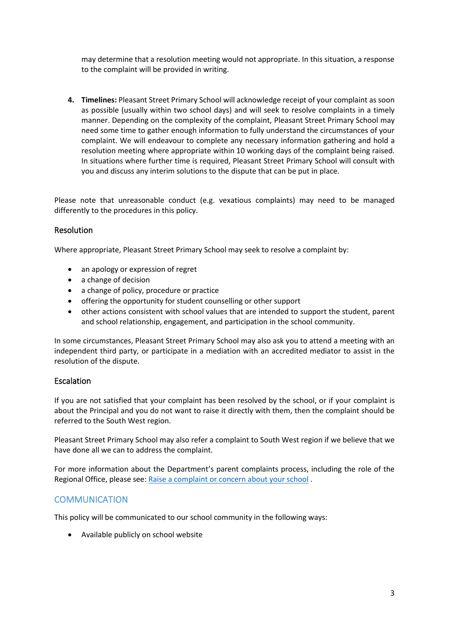may determine that a resolution meeting would not appropriate. In this situation, a response to the complaint will be provided in writing.

**4. Timelines:** Pleasant Street Primary School will acknowledge receipt of your complaint as soon as possible (usually within two school days) and will seek to resolve complaints in a timely manner. Depending on the complexity of the complaint, Pleasant Street Primary School may need some time to gather enough information to fully understand the circumstances of your complaint. We will endeavour to complete any necessary information gathering and hold a resolution meeting where appropriate within 10 working days of the complaint being raised. In situations where further time is required, Pleasant Street Primary School will consult with you and discuss any interim solutions to the dispute that can be put in place.

Please note that unreasonable conduct (e.g. vexatious complaints) may need to be managed differently to the procedures in this policy.

## Resolution

Where appropriate, Pleasant Street Primary School may seek to resolve a complaint by:

- an apology or expression of regret
- a change of decision
- a change of policy, procedure or practice
- offering the opportunity for student counselling or other support
- other actions consistent with school values that are intended to support the student, parent and school relationship, engagement, and participation in the school community.

In some circumstances, Pleasant Street Primary School may also ask you to attend a meeting with an independent third party, or participate in a mediation with an accredited mediator to assist in the resolution of the dispute.

### Escalation

If you are not satisfied that your complaint has been resolved by the school, or if your complaint is about the Principal and you do not want to raise it directly with them, then the complaint should be referred to the South West region.

Pleasant Street Primary School may also refer a complaint to South West region if we believe that we have done all we can to address the complaint.

For more information about the Department's parent complaints process, including the role of the Regional Office, please see: [Raise a complaint or concern about your school](https://www.education.vic.gov.au/parents/going-to-school/Pages/school-complaints.aspx#policy) .

## **COMMUNICATION**

This policy will be communicated to our school community in the following ways:

• Available publicly on school website